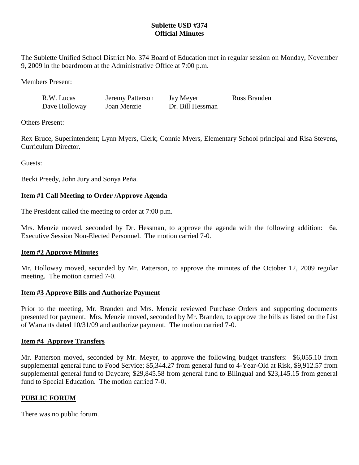# **Sublette USD #374 Official Minutes**

The Sublette Unified School District No. 374 Board of Education met in regular session on Monday, November 9, 2009 in the boardroom at the Administrative Office at 7:00 p.m.

Members Present:

| R.W. Lucas    | Jeremy Patterson | Jay Meyer        | Russ Branden |
|---------------|------------------|------------------|--------------|
| Dave Holloway | Joan Menzie      | Dr. Bill Hessman |              |

Others Present:

Rex Bruce, Superintendent; Lynn Myers, Clerk; Connie Myers, Elementary School principal and Risa Stevens, Curriculum Director.

Guests:

Becki Preedy, John Jury and Sonya Peña.

# **Item #1 Call Meeting to Order /Approve Agenda**

The President called the meeting to order at 7:00 p.m.

Mrs. Menzie moved, seconded by Dr. Hessman, to approve the agenda with the following addition: 6a. Executive Session Non-Elected Personnel. The motion carried 7-0.

## **Item #2 Approve Minutes**

Mr. Holloway moved, seconded by Mr. Patterson, to approve the minutes of the October 12, 2009 regular meeting. The motion carried 7-0.

## **Item #3 Approve Bills and Authorize Payment**

Prior to the meeting, Mr. Branden and Mrs. Menzie reviewed Purchase Orders and supporting documents presented for payment. Mrs. Menzie moved, seconded by Mr. Branden, to approve the bills as listed on the List of Warrants dated 10/31/09 and authorize payment. The motion carried 7-0.

## **Item #4 Approve Transfers**

Mr. Patterson moved, seconded by Mr. Meyer, to approve the following budget transfers: \$6,055.10 from supplemental general fund to Food Service; \$5,344.27 from general fund to 4-Year-Old at Risk, \$9,912.57 from supplemental general fund to Daycare; \$29,845.58 from general fund to Bilingual and \$23,145.15 from general fund to Special Education. The motion carried 7-0.

## **PUBLIC FORUM**

There was no public forum.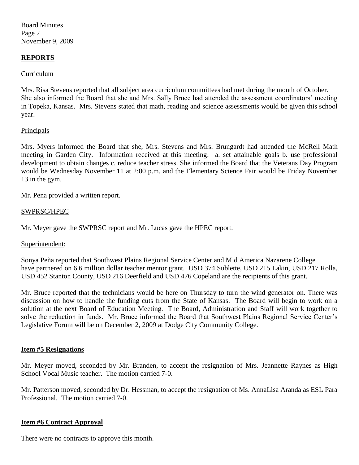Board Minutes Page 2 November 9, 2009

### **REPORTS**

### Curriculum

Mrs. Risa Stevens reported that all subject area curriculum committees had met during the month of October. She also informed the Board that she and Mrs. Sally Bruce had attended the assessment coordinators' meeting in Topeka, Kansas. Mrs. Stevens stated that math, reading and science assessments would be given this school year.

### **Principals**

Mrs. Myers informed the Board that she, Mrs. Stevens and Mrs. Brungardt had attended the McRell Math meeting in Garden City. Information received at this meeting: a. set attainable goals b. use professional development to obtain changes c. reduce teacher stress. She informed the Board that the Veterans Day Program would be Wednesday November 11 at 2:00 p.m. and the Elementary Science Fair would be Friday November 13 in the gym.

Mr. Pena provided a written report.

### SWPRSC/HPEC

Mr. Meyer gave the SWPRSC report and Mr. Lucas gave the HPEC report.

### Superintendent:

Sonya Peña reported that Southwest Plains Regional Service Center and Mid America Nazarene College have partnered on 6.6 million dollar teacher mentor grant. USD 374 Sublette, USD 215 Lakin, USD 217 Rolla, USD 452 Stanton County, USD 216 Deerfield and USD 476 Copeland are the recipients of this grant.

Mr. Bruce reported that the technicians would be here on Thursday to turn the wind generator on. There was discussion on how to handle the funding cuts from the State of Kansas. The Board will begin to work on a solution at the next Board of Education Meeting. The Board, Administration and Staff will work together to solve the reduction in funds. Mr. Bruce informed the Board that Southwest Plains Regional Service Center's Legislative Forum will be on December 2, 2009 at Dodge City Community College.

#### **Item #5 Resignations**

Mr. Meyer moved, seconded by Mr. Branden, to accept the resignation of Mrs. Jeannette Raynes as High School Vocal Music teacher. The motion carried 7-0.

Mr. Patterson moved, seconded by Dr. Hessman, to accept the resignation of Ms. AnnaLisa Aranda as ESL Para Professional. The motion carried 7-0.

#### **Item #6 Contract Approval**

There were no contracts to approve this month.